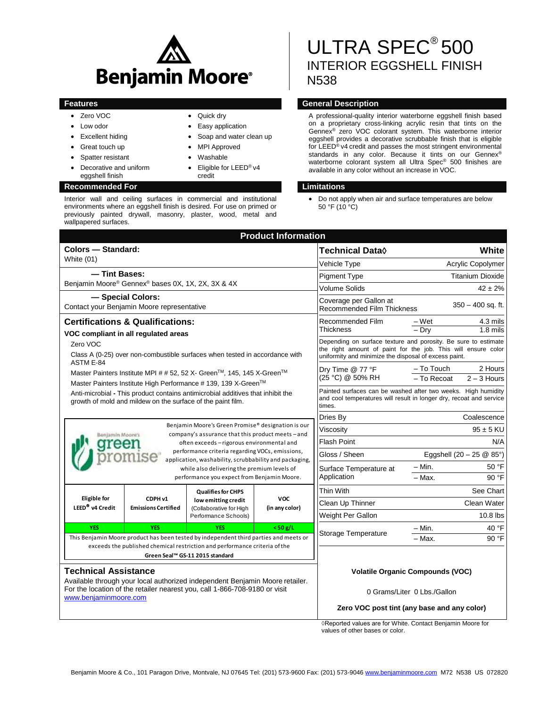

• Quick dry • Easy application

credit

 MPI Approved Washable

Soap and water clean up

Eligible for LEED® v4

- Zero VOC
- Low odor
- Excellent hiding
- Great touch up
- Spatter resistant
- Decorative and uniform eggshell finish

### **Recommended For Limitations**

Interior wall and ceiling surfaces in commercial and institutional environments where an eggshell finish is desired. For use on primed or previously painted drywall, masonry, plaster, wood, metal and wallpapered surfaces.

# ULTRA SPEC<sup>®</sup> 500 INTERIOR EGGSHELL FINISH N538

# **Features CENE CONSUMING THE CONSUMING TENS AND SERVICE CONSUMING TENS AND SERVICE CONSUMING TENS AND SERVICE CONSUMING TENS AND SERVICE CONSUMING THE CONSUMING TENS AND SERVICE CONSUMING THE CONSUMING TENS AND SERVICE C**

A professional-quality interior waterborne eggshell finish based on a proprietary cross-linking acrylic resin that tints on the Gennex® zero VOC colorant system. This waterborne interior eggshell provides a decorative scrubbable finish that is eligible for LEED<sup>®</sup> v4 credit and passes the most stringent environmental standards in any color. Because it tints on our Gennex® waterborne colorant system all Ultra Spec® 500 finishes are available in any color without an increase in VOC.

 Do not apply when air and surface temperatures are below 50 °F (10 °C)

| <b>Product Information</b>                                                                                                                                                                                                           |                                       |                                                                                                     |                                                             |                                                                                                                                                                                          |                                    |             |  |
|--------------------------------------------------------------------------------------------------------------------------------------------------------------------------------------------------------------------------------------|---------------------------------------|-----------------------------------------------------------------------------------------------------|-------------------------------------------------------------|------------------------------------------------------------------------------------------------------------------------------------------------------------------------------------------|------------------------------------|-------------|--|
| Colors - Standard:                                                                                                                                                                                                                   |                                       |                                                                                                     | Technical Data◊                                             | White                                                                                                                                                                                    |                                    |             |  |
| <b>White (01)</b>                                                                                                                                                                                                                    |                                       |                                                                                                     |                                                             | Vehicle Type                                                                                                                                                                             | Acrylic Copolymer                  |             |  |
| - Tint Bases:                                                                                                                                                                                                                        |                                       |                                                                                                     |                                                             | <b>Pigment Type</b>                                                                                                                                                                      | <b>Titanium Dioxide</b>            |             |  |
| Benjamin Moore® Gennex® bases 0X, 1X, 2X, 3X & 4X                                                                                                                                                                                    |                                       |                                                                                                     | <b>Volume Solids</b>                                        | $42 \pm 2\%$                                                                                                                                                                             |                                    |             |  |
| - Special Colors:<br>Contact your Benjamin Moore representative                                                                                                                                                                      |                                       |                                                                                                     | Coverage per Gallon at<br><b>Recommended Film Thickness</b> | $350 - 400$ sq. ft.                                                                                                                                                                      |                                    |             |  |
| <b>Certifications &amp; Qualifications:</b>                                                                                                                                                                                          |                                       |                                                                                                     |                                                             | Recommended Film                                                                                                                                                                         | – Wet                              | 4.3 mils    |  |
| VOC compliant in all regulated areas                                                                                                                                                                                                 |                                       |                                                                                                     | <b>Thickness</b>                                            | – Drv                                                                                                                                                                                    | $1.8$ mils                         |             |  |
| Zero VOC<br>Class A (0-25) over non-combustible surfaces when tested in accordance with                                                                                                                                              |                                       |                                                                                                     |                                                             | Depending on surface texture and porosity. Be sure to estimate<br>the right amount of paint for the job. This will ensure color<br>uniformity and minimize the disposal of excess paint. |                                    |             |  |
| ASTM E-84<br>Master Painters Institute MPI # # 52, 52 X- Green™, 145, 145 X-Green™<br>Master Painters Institute High Performance # 139, 139 X-Green™                                                                                 |                                       |                                                                                                     | Dry Time @ 77 °F<br>(25 °C) @ 50% RH                        | - To Touch<br>$-$ To Recoat                                                                                                                                                              | 2 Hours<br>$2 - 3$ Hours           |             |  |
| Anti-microbial - This product contains antimicrobial additives that inhibit the<br>growth of mold and mildew on the surface of the paint film.                                                                                       |                                       |                                                                                                     |                                                             | Painted surfaces can be washed after two weeks. High humidity<br>and cool temperatures will result in longer dry, recoat and service<br>times.                                           |                                    |             |  |
|                                                                                                                                                                                                                                      |                                       |                                                                                                     |                                                             | Dries By                                                                                                                                                                                 |                                    | Coalescence |  |
| Benjamin Moore's Green Promise® designation is our<br>company's assurance that this product meets - and<br>Benjamin Moore's<br>often exceeds - rigorous environmental and<br>reei<br>performance criteria regarding VOCs, emissions, |                                       |                                                                                                     |                                                             | Viscosity                                                                                                                                                                                | $95 \pm 5$ KU                      |             |  |
|                                                                                                                                                                                                                                      |                                       |                                                                                                     |                                                             | <b>Flash Point</b>                                                                                                                                                                       | N/A                                |             |  |
|                                                                                                                                                                                                                                      |                                       |                                                                                                     |                                                             | Gloss / Sheen                                                                                                                                                                            | Eggshell $(20 - 25 \& 85^{\circ})$ |             |  |
| application, washability, scrubbability and packaging,<br>while also delivering the premium levels of<br>performance you expect from Benjamin Moore.                                                                                 |                                       |                                                                                                     |                                                             | Surface Temperature at<br>Application                                                                                                                                                    | – Min.                             | 50 °F       |  |
|                                                                                                                                                                                                                                      |                                       |                                                                                                     |                                                             |                                                                                                                                                                                          | - Max.                             | 90 °F       |  |
|                                                                                                                                                                                                                                      | CDPH v1<br><b>Emissions Certified</b> | <b>Qualifies for CHPS</b><br>low emitting credit<br>(Collaborative for High<br>Performance Schools) | <b>VOC</b><br>(in any color)                                | <b>Thin With</b>                                                                                                                                                                         |                                    | See Chart   |  |
| <b>Eligible</b> for<br>LEED <sup>®</sup> v4 Credit                                                                                                                                                                                   |                                       |                                                                                                     |                                                             | Clean Up Thinner                                                                                                                                                                         |                                    | Clean Water |  |
|                                                                                                                                                                                                                                      |                                       |                                                                                                     |                                                             | Weight Per Gallon                                                                                                                                                                        |                                    | $10.8$ lbs  |  |
| <b>YES</b>                                                                                                                                                                                                                           | <b>YES</b>                            | <b>YES</b>                                                                                          | $<$ 50 g/L                                                  | Storage Temperature                                                                                                                                                                      | $- Min.$                           | 40 °F       |  |
| This Benjamin Moore product has been tested by independent third parties and meets or                                                                                                                                                |                                       |                                                                                                     |                                                             | Max.                                                                                                                                                                                     | 90 °F                              |             |  |
| exceeds the published chemical restriction and performance criteria of the<br>Green Seal™ GS-11 2015 standard                                                                                                                        |                                       |                                                                                                     |                                                             |                                                                                                                                                                                          |                                    |             |  |
| <b>Technical Assistance</b><br>Available through your local authorized independent Benjamin Moore retailer.                                                                                                                          |                                       |                                                                                                     |                                                             | <b>Volatile Organic Compounds (VOC)</b>                                                                                                                                                  |                                    |             |  |
| For the location of the retailer nearest you, call 1-866-708-9180 or visit<br>www.benjaminmoore.com                                                                                                                                  |                                       |                                                                                                     |                                                             | 0 Grams/Liter 0 Lbs./Gallon                                                                                                                                                              |                                    |             |  |
|                                                                                                                                                                                                                                      |                                       |                                                                                                     |                                                             | Zero VOC post tint (any base and any color)                                                                                                                                              |                                    |             |  |

◊Reported values are for White. Contact Benjamin Moore for values of other bases or color.